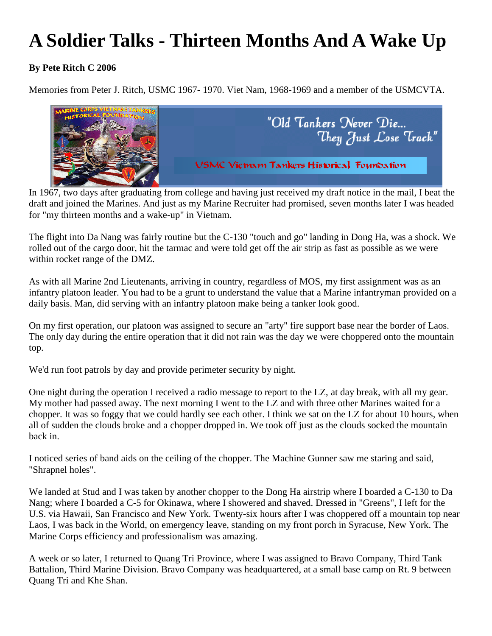## **A Soldier Talks - Thirteen Months And A Wake Up**

## **By Pete Ritch C 2006**

Memories from Peter J. Ritch, USMC 1967- 1970. Viet Nam, 1968-1969 and a member of the USMCVTA.



In 1967, two days after graduating from college and having just received my draft notice in the mail, I beat the draft and joined the Marines. And just as my Marine Recruiter had promised, seven months later I was headed for "my thirteen months and a wake-up" in Vietnam.

The flight into Da Nang was fairly routine but the C-130 "touch and go" landing in Dong Ha, was a shock. We rolled out of the cargo door, hit the tarmac and were told get off the air strip as fast as possible as we were within rocket range of the DMZ.

As with all Marine 2nd Lieutenants, arriving in country, regardless of MOS, my first assignment was as an infantry platoon leader. You had to be a grunt to understand the value that a Marine infantryman provided on a daily basis. Man, did serving with an infantry platoon make being a tanker look good.

On my first operation, our platoon was assigned to secure an "arty" fire support base near the border of Laos. The only day during the entire operation that it did not rain was the day we were choppered onto the mountain top.

We'd run foot patrols by day and provide perimeter security by night.

One night during the operation I received a radio message to report to the LZ, at day break, with all my gear. My mother had passed away. The next morning I went to the LZ and with three other Marines waited for a chopper. It was so foggy that we could hardly see each other. I think we sat on the LZ for about 10 hours, when all of sudden the clouds broke and a chopper dropped in. We took off just as the clouds socked the mountain back in.

I noticed series of band aids on the ceiling of the chopper. The Machine Gunner saw me staring and said, "Shrapnel holes".

We landed at Stud and I was taken by another chopper to the Dong Ha airstrip where I boarded a C-130 to Da Nang; where I boarded a C-5 for Okinawa, where I showered and shaved. Dressed in "Greens", I left for the U.S. via Hawaii, San Francisco and New York. Twenty-six hours after I was choppered off a mountain top near Laos, I was back in the World, on emergency leave, standing on my front porch in Syracuse, New York. The Marine Corps efficiency and professionalism was amazing.

A week or so later, I returned to Quang Tri Province, where I was assigned to Bravo Company, Third Tank Battalion, Third Marine Division. Bravo Company was headquartered, at a small base camp on Rt. 9 between Quang Tri and Khe Shan.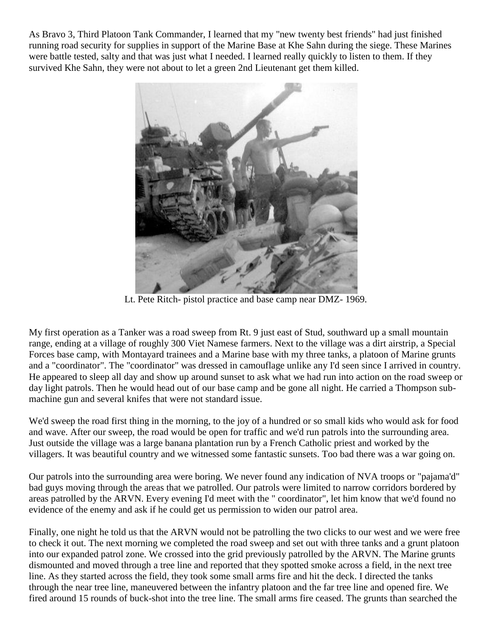As Bravo 3, Third Platoon Tank Commander, I learned that my "new twenty best friends" had just finished running road security for supplies in support of the Marine Base at Khe Sahn during the siege. These Marines were battle tested, salty and that was just what I needed. I learned really quickly to listen to them. If they survived Khe Sahn, they were not about to let a green 2nd Lieutenant get them killed.



Lt. Pete Ritch- pistol practice and base camp near DMZ- 1969.

My first operation as a Tanker was a road sweep from Rt. 9 just east of Stud, southward up a small mountain range, ending at a village of roughly 300 Viet Namese farmers. Next to the village was a dirt airstrip, a Special Forces base camp, with Montayard trainees and a Marine base with my three tanks, a platoon of Marine grunts and a "coordinator". The "coordinator" was dressed in camouflage unlike any I'd seen since I arrived in country. He appeared to sleep all day and show up around sunset to ask what we had run into action on the road sweep or day light patrols. Then he would head out of our base camp and be gone all night. He carried a Thompson submachine gun and several knifes that were not standard issue.

We'd sweep the road first thing in the morning, to the joy of a hundred or so small kids who would ask for food and wave. After our sweep, the road would be open for traffic and we'd run patrols into the surrounding area. Just outside the village was a large banana plantation run by a French Catholic priest and worked by the villagers. It was beautiful country and we witnessed some fantastic sunsets. Too bad there was a war going on.

Our patrols into the surrounding area were boring. We never found any indication of NVA troops or "pajama'd" bad guys moving through the areas that we patrolled. Our patrols were limited to narrow corridors bordered by areas patrolled by the ARVN. Every evening I'd meet with the " coordinator", let him know that we'd found no evidence of the enemy and ask if he could get us permission to widen our patrol area.

Finally, one night he told us that the ARVN would not be patrolling the two clicks to our west and we were free to check it out. The next morning we completed the road sweep and set out with three tanks and a grunt platoon into our expanded patrol zone. We crossed into the grid previously patrolled by the ARVN. The Marine grunts dismounted and moved through a tree line and reported that they spotted smoke across a field, in the next tree line. As they started across the field, they took some small arms fire and hit the deck. I directed the tanks through the near tree line, maneuvered between the infantry platoon and the far tree line and opened fire. We fired around 15 rounds of buck-shot into the tree line. The small arms fire ceased. The grunts than searched the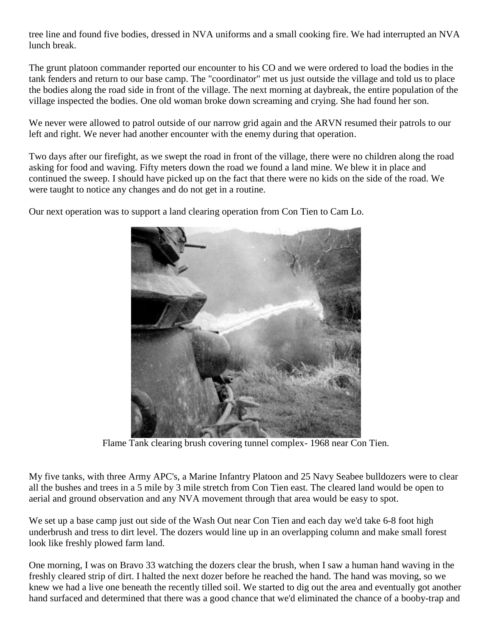tree line and found five bodies, dressed in NVA uniforms and a small cooking fire. We had interrupted an NVA lunch break.

The grunt platoon commander reported our encounter to his CO and we were ordered to load the bodies in the tank fenders and return to our base camp. The "coordinator" met us just outside the village and told us to place the bodies along the road side in front of the village. The next morning at daybreak, the entire population of the village inspected the bodies. One old woman broke down screaming and crying. She had found her son.

We never were allowed to patrol outside of our narrow grid again and the ARVN resumed their patrols to our left and right. We never had another encounter with the enemy during that operation.

Two days after our firefight, as we swept the road in front of the village, there were no children along the road asking for food and waving. Fifty meters down the road we found a land mine. We blew it in place and continued the sweep. I should have picked up on the fact that there were no kids on the side of the road. We were taught to notice any changes and do not get in a routine.

Our next operation was to support a land clearing operation from Con Tien to Cam Lo.

Flame Tank clearing brush covering tunnel complex- 1968 near Con Tien.

My five tanks, with three Army APC's, a Marine Infantry Platoon and 25 Navy Seabee bulldozers were to clear all the bushes and trees in a 5 mile by 3 mile stretch from Con Tien east. The cleared land would be open to aerial and ground observation and any NVA movement through that area would be easy to spot.

We set up a base camp just out side of the Wash Out near Con Tien and each day we'd take 6-8 foot high underbrush and tress to dirt level. The dozers would line up in an overlapping column and make small forest look like freshly plowed farm land.

One morning, I was on Bravo 33 watching the dozers clear the brush, when I saw a human hand waving in the freshly cleared strip of dirt. I halted the next dozer before he reached the hand. The hand was moving, so we knew we had a live one beneath the recently tilled soil. We started to dig out the area and eventually got another hand surfaced and determined that there was a good chance that we'd eliminated the chance of a booby-trap and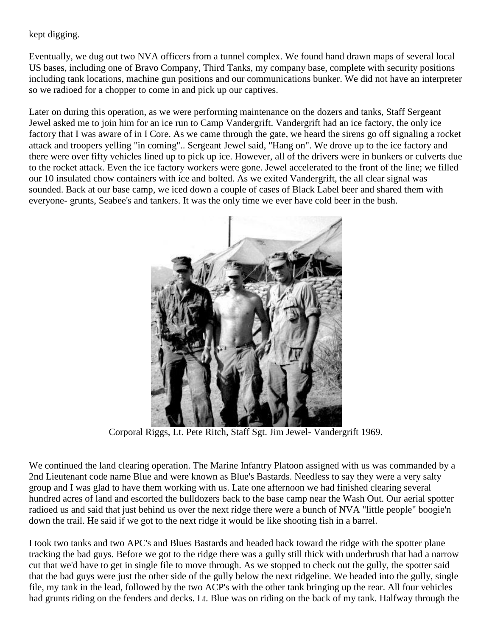## kept digging.

Eventually, we dug out two NVA officers from a tunnel complex. We found hand drawn maps of several local US bases, including one of Bravo Company, Third Tanks, my company base, complete with security positions including tank locations, machine gun positions and our communications bunker. We did not have an interpreter so we radioed for a chopper to come in and pick up our captives.

Later on during this operation, as we were performing maintenance on the dozers and tanks, Staff Sergeant Jewel asked me to join him for an ice run to Camp Vandergrift. Vandergrift had an ice factory, the only ice factory that I was aware of in I Core. As we came through the gate, we heard the sirens go off signaling a rocket attack and troopers yelling "in coming".. Sergeant Jewel said, "Hang on". We drove up to the ice factory and there were over fifty vehicles lined up to pick up ice. However, all of the drivers were in bunkers or culverts due to the rocket attack. Even the ice factory workers were gone. Jewel accelerated to the front of the line; we filled our 10 insulated chow containers with ice and bolted. As we exited Vandergrift, the all clear signal was sounded. Back at our base camp, we iced down a couple of cases of Black Label beer and shared them with everyone- grunts, Seabee's and tankers. It was the only time we ever have cold beer in the bush.



Corporal Riggs, Lt. Pete Ritch, Staff Sgt. Jim Jewel- Vandergrift 1969.

We continued the land clearing operation. The Marine Infantry Platoon assigned with us was commanded by a 2nd Lieutenant code name Blue and were known as Blue's Bastards. Needless to say they were a very salty group and I was glad to have them working with us. Late one afternoon we had finished clearing several hundred acres of land and escorted the bulldozers back to the base camp near the Wash Out. Our aerial spotter radioed us and said that just behind us over the next ridge there were a bunch of NVA "little people" boogie'n down the trail. He said if we got to the next ridge it would be like shooting fish in a barrel.

I took two tanks and two APC's and Blues Bastards and headed back toward the ridge with the spotter plane tracking the bad guys. Before we got to the ridge there was a gully still thick with underbrush that had a narrow cut that we'd have to get in single file to move through. As we stopped to check out the gully, the spotter said that the bad guys were just the other side of the gully below the next ridgeline. We headed into the gully, single file, my tank in the lead, followed by the two ACP's with the other tank bringing up the rear. All four vehicles had grunts riding on the fenders and decks. Lt. Blue was on riding on the back of my tank. Halfway through the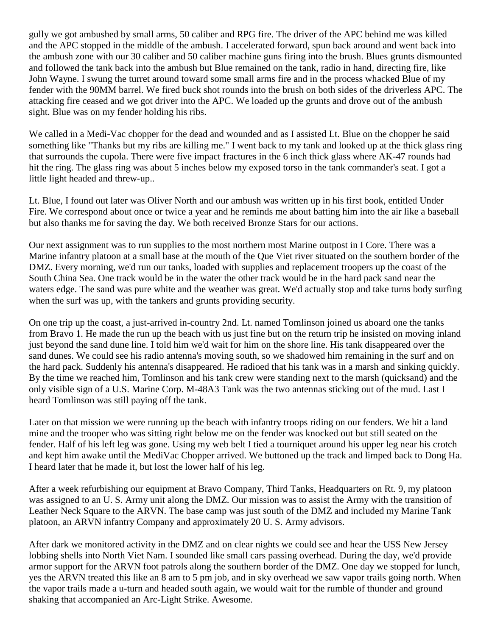gully we got ambushed by small arms, 50 caliber and RPG fire. The driver of the APC behind me was killed and the APC stopped in the middle of the ambush. I accelerated forward, spun back around and went back into the ambush zone with our 30 caliber and 50 caliber machine guns firing into the brush. Blues grunts dismounted and followed the tank back into the ambush but Blue remained on the tank, radio in hand, directing fire, like John Wayne. I swung the turret around toward some small arms fire and in the process whacked Blue of my fender with the 90MM barrel. We fired buck shot rounds into the brush on both sides of the driverless APC. The attacking fire ceased and we got driver into the APC. We loaded up the grunts and drove out of the ambush sight. Blue was on my fender holding his ribs.

We called in a Medi-Vac chopper for the dead and wounded and as I assisted Lt. Blue on the chopper he said something like "Thanks but my ribs are killing me." I went back to my tank and looked up at the thick glass ring that surrounds the cupola. There were five impact fractures in the 6 inch thick glass where AK-47 rounds had hit the ring. The glass ring was about 5 inches below my exposed torso in the tank commander's seat. I got a little light headed and threw-up..

Lt. Blue, I found out later was Oliver North and our ambush was written up in his first book, entitled Under Fire. We correspond about once or twice a year and he reminds me about batting him into the air like a baseball but also thanks me for saving the day. We both received Bronze Stars for our actions.

Our next assignment was to run supplies to the most northern most Marine outpost in I Core. There was a Marine infantry platoon at a small base at the mouth of the Que Viet river situated on the southern border of the DMZ. Every morning, we'd run our tanks, loaded with supplies and replacement troopers up the coast of the South China Sea. One track would be in the water the other track would be in the hard pack sand near the waters edge. The sand was pure white and the weather was great. We'd actually stop and take turns body surfing when the surf was up, with the tankers and grunts providing security.

On one trip up the coast, a just-arrived in-country 2nd. Lt. named Tomlinson joined us aboard one the tanks from Bravo 1. He made the run up the beach with us just fine but on the return trip he insisted on moving inland just beyond the sand dune line. I told him we'd wait for him on the shore line. His tank disappeared over the sand dunes. We could see his radio antenna's moving south, so we shadowed him remaining in the surf and on the hard pack. Suddenly his antenna's disappeared. He radioed that his tank was in a marsh and sinking quickly. By the time we reached him, Tomlinson and his tank crew were standing next to the marsh (quicksand) and the only visible sign of a U.S. Marine Corp. M-48A3 Tank was the two antennas sticking out of the mud. Last I heard Tomlinson was still paying off the tank.

Later on that mission we were running up the beach with infantry troops riding on our fenders. We hit a land mine and the trooper who was sitting right below me on the fender was knocked out but still seated on the fender. Half of his left leg was gone. Using my web belt I tied a tourniquet around his upper leg near his crotch and kept him awake until the MediVac Chopper arrived. We buttoned up the track and limped back to Dong Ha. I heard later that he made it, but lost the lower half of his leg.

After a week refurbishing our equipment at Bravo Company, Third Tanks, Headquarters on Rt. 9, my platoon was assigned to an U. S. Army unit along the DMZ. Our mission was to assist the Army with the transition of Leather Neck Square to the ARVN. The base camp was just south of the DMZ and included my Marine Tank platoon, an ARVN infantry Company and approximately 20 U. S. Army advisors.

After dark we monitored activity in the DMZ and on clear nights we could see and hear the USS New Jersey lobbing shells into North Viet Nam. I sounded like small cars passing overhead. During the day, we'd provide armor support for the ARVN foot patrols along the southern border of the DMZ. One day we stopped for lunch, yes the ARVN treated this like an 8 am to 5 pm job, and in sky overhead we saw vapor trails going north. When the vapor trails made a u-turn and headed south again, we would wait for the rumble of thunder and ground shaking that accompanied an Arc-Light Strike. Awesome.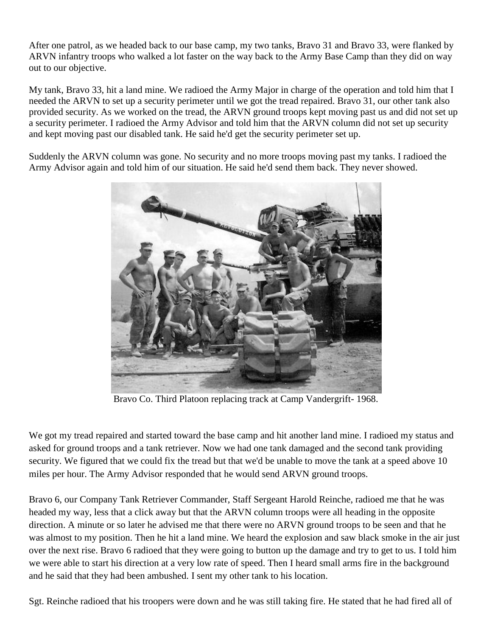After one patrol, as we headed back to our base camp, my two tanks, Bravo 31 and Bravo 33, were flanked by ARVN infantry troops who walked a lot faster on the way back to the Army Base Camp than they did on way out to our objective.

My tank, Bravo 33, hit a land mine. We radioed the Army Major in charge of the operation and told him that I needed the ARVN to set up a security perimeter until we got the tread repaired. Bravo 31, our other tank also provided security. As we worked on the tread, the ARVN ground troops kept moving past us and did not set up a security perimeter. I radioed the Army Advisor and told him that the ARVN column did not set up security and kept moving past our disabled tank. He said he'd get the security perimeter set up.

Suddenly the ARVN column was gone. No security and no more troops moving past my tanks. I radioed the Army Advisor again and told him of our situation. He said he'd send them back. They never showed.



Bravo Co. Third Platoon replacing track at Camp Vandergrift- 1968.

We got my tread repaired and started toward the base camp and hit another land mine. I radioed my status and asked for ground troops and a tank retriever. Now we had one tank damaged and the second tank providing security. We figured that we could fix the tread but that we'd be unable to move the tank at a speed above 10 miles per hour. The Army Advisor responded that he would send ARVN ground troops.

Bravo 6, our Company Tank Retriever Commander, Staff Sergeant Harold Reinche, radioed me that he was headed my way, less that a click away but that the ARVN column troops were all heading in the opposite direction. A minute or so later he advised me that there were no ARVN ground troops to be seen and that he was almost to my position. Then he hit a land mine. We heard the explosion and saw black smoke in the air just over the next rise. Bravo 6 radioed that they were going to button up the damage and try to get to us. I told him we were able to start his direction at a very low rate of speed. Then I heard small arms fire in the background and he said that they had been ambushed. I sent my other tank to his location.

Sgt. Reinche radioed that his troopers were down and he was still taking fire. He stated that he had fired all of